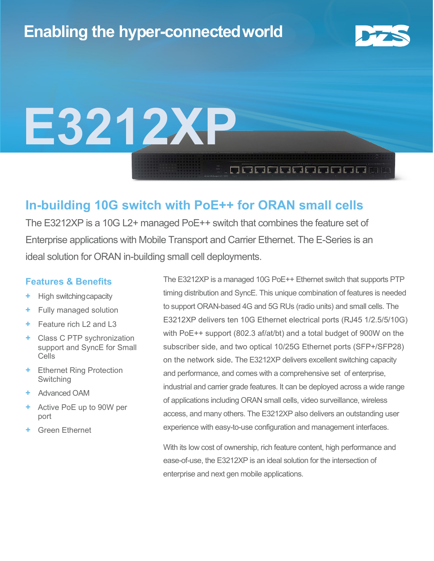

# **E3212XP**

## **In-building 10G switch with PoE++ for ORAN small cells**

The E3212XP is a 10G L2+ managed PoE++ switch that combines the feature set of Enterprise applications with Mobile Transport and Carrier Ethernet. The E-Series is an ideal solution for ORAN in-building small cell deployments.

#### **Features & Benefits**

- **+** High switchingcapacity
- **+** Fully managed solution
- **+** Feature rich L2 and L3
- **+** Class C PTP sychronization support and SyncE for Small Cells
- **+** Ethernet Ring Protection **Switching**
- **+** Advanced OAM
- **+** Active PoE up to 90W per port
- **+** Green Ethernet

The E3212XP is a managed 10G PoE++ Ethernet switch that supports PTP timing distribution and SyncE. This unique combination of features is needed to support ORAN-based 4G and 5G RUs (radio units) and small cells. The E3212XP delivers ten 10G Ethernet electrical ports (RJ45 1/2.5/5/10G) with PoE++ support (802.3 af/at/bt) and a total budget of 900W on the subscriber side, and two optical 10/25G Ethernet ports (SFP+/SFP28) on the network side. The E3212XP delivers excellent switching capacity and performance, and comes with a comprehensive set of enterprise, industrial and carrier grade features. It can be deployed across a wide range of applications including ORAN small cells, video surveillance, wireless access, and many others. The E3212XP also delivers an outstanding user experience with easy-to-use configuration and management interfaces.

**DE ELECTRICIA** 

With its low cost of ownership, rich feature content, high performance and ease-of-use, the E3212XP is an ideal solution for the intersection of enterprise and next gen mobile applications.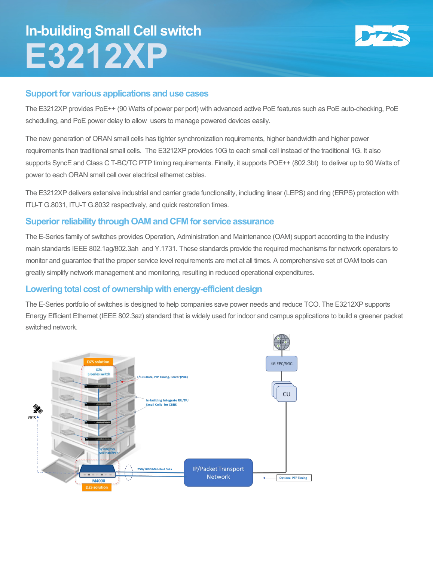# **In-building Small Cell switch E3212XP**



#### **Support for various applications and use cases**

The E3212XP provides PoE++ (90 Watts of power per port) with advanced active PoE features such as PoE auto-checking, PoE scheduling, and PoE power delay to allow users to manage powered devices easily.

The new generation of ORAN small cells has tighter synchronization requirements, higher bandwidth and higher power requirements than traditional small cells. The E3212XP provides 10G to each small cell instead of the traditional 1G. It also supports SyncE and Class C T-BC/TC PTP timing requirements. Finally, it supports POE++ (802.3bt) to deliver up to 90 Watts of power to each ORAN small cell over electrical ethernet cables.

The E3212XP delivers extensive industrial and carrier grade functionality, including linear (LEPS) and ring (ERPS) protection with ITU-T G.8031, ITU-T G.8032 respectively, and quick restoration times.

#### **Superior reliability through OAM and CFM for service assurance**

The E-Series family of switches provides Operation, Administration and Maintenance (OAM) support according to the industry main standards IEEE 802.1ag/802.3ah and Y.1731. These standards provide the required mechanisms for network operators to monitor and guarantee that the proper service level requirements are met at all times. A comprehensive set of OAM tools can greatly simplify network management and monitoring, resulting in reduced operational expenditures.

#### **Lowering total cost of ownership with energy-efficient design**

The E-Series portfolio of switches is designed to help companies save power needs and reduce TCO. The E3212XP supports Energy Efficient Ethernet (IEEE 802.3az) standard that is widely used for indoor and campus applications to build a greener packet switched network.

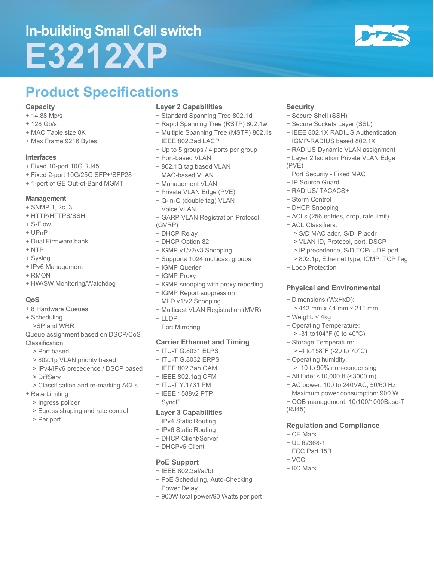# **In-building Small Cell switch E3212XP**



## **Product Specifications**

#### **Capacity**

- + 14.88 Mp/s
- + 128 Gb/s
- + MAC Table size 8K
- + Max Frame 9216 Bytes

#### **Interfaces**

- + Fixed 10-port 10G RJ45
- + Fixed 2-port 10G/25G SFP+/SFP28
- + 1-port of GE Out-of-Band MGMT

#### **Management**

- + SNMP 1, 2c, 3
- + HTTP/HTTPS/SSH
- + S-Flow
- + UPnP
- + Dual Firmware bank
- + NTP
- + Syslog
- + IPv6 Management
- + RMON
- + HW/SW Monitoring/Watchdog

#### **QoS**

- + 8 Hardware Queues
- + Scheduling
- >SP and WRR
- Queue assignment based on DSCP/CoS Classification
	- > Port based
	- > 802.1p VLAN priority based
	- > IPv4/IPv6 precedence / DSCP based
	- > DiffServ
	- > Classification and re-marking ACLs
- + Rate Limiting
	- > Ingress policer
	- > Egress shaping and rate control
	- > Per port

#### **Layer 2 Capabilities**

- + Standard Spanning Tree 802.1d
- + Rapid Spanning Tree (RSTP) 802.1w
- + Multiple Spanning Tree (MSTP) 802.1s
- + IEEE 802.3ad LACP
- + Up to 5 groups / 4 ports per group
- + Port-based VLAN
- + 802.1Q tag based VLAN
- + MAC-based VLAN
- + Management VLAN
- + Private VLAN Edge (PVE)
- + Q-in-Q (double tag) VLAN
- + Voice VLAN
- + GARP VLAN Registration Protocol (GVRP)
- + DHCP Relay
- + DHCP Option 82
- + IGMP v1/v2/v3 Snooping
- + Supports 1024 multicast groups
- + IGMP Querier
- + IGMP Proxy
- + IGMP snooping with proxy reporting
- + IGMP Report suppression
- + MLD v1/v2 Snooping
- + Multicast VLAN Registration (MVR)
- + LLDP
- + Port Mirroring

#### **Carrier Ethernet and Timing**

- + ITU-T G.8031 ELPS
- + ITU-T G.8032 ERPS
- + IEEE 802.3ah OAM
- + IEEE 802.1ag CFM
- + ITU-T Y.1731 PM
- + IEEE 1588v2 PTP
- + SyncE

#### **Layer 3 Capabilities**

- + IPv4 Static Routing
- + IPv6 Static Routing
- + DHCP Client/Server
- + DHCPv6 Client

#### **PoE Support**

- + IEEE 802.3af/at/bt
- + PoE Scheduling, Auto-Checking
- + Power Delay
- + 900W total power/90 Watts per port

#### **Security**

- + Secure Shell (SSH)
- + Secure Sockets Layer (SSL)
- + IEEE 802.1X RADIUS Authentication
- + IGMP-RADIUS based 802.1X
- + RADIUS Dynamic VLAN assignment + Layer 2 Isolation Private VLAN Edge
- (PVE)
- + Port Security Fixed MAC
- + IP Source Guard
- + RADIUS/ TACACS+
- + Storm Control
- + DHCP Snooping
- + ACLs (256 entries, drop, rate limit)
- + ACL Classifiers:
	- > S/D MAC addr, S/D IP addr

**Physical and Environmental**

> 442 mm x 44 mm x 211 mm

 > 10 to 90% non-condensing + Altitude: <10,000 ft (<3000 m) + AC power: 100 to 240VAC, 50/60 Hz + Maximum power consumption: 900 W + OOB management: 10/100/1000Base-T

**Regulation and Compliance**

- > VLAN ID, Protocol, port, DSCP
- > IP precedence, S/D TCP/ UDP port
- > 802.1p, Ethernet type, ICMP, TCP flag
- + Loop Protection

+ Weight: < 4kg

+ Dimensions (WxHxD):

+ Operating Temperature: > -31 to104°F (0 to 40°C) + Storage Temperature: > -4 to158°F (-20 to 70°C)

+ Operating humidity:

(RJ45)

+ CE Mark + UL 62368-1 + FCC Part 15B

+ VCCI + KC Mark